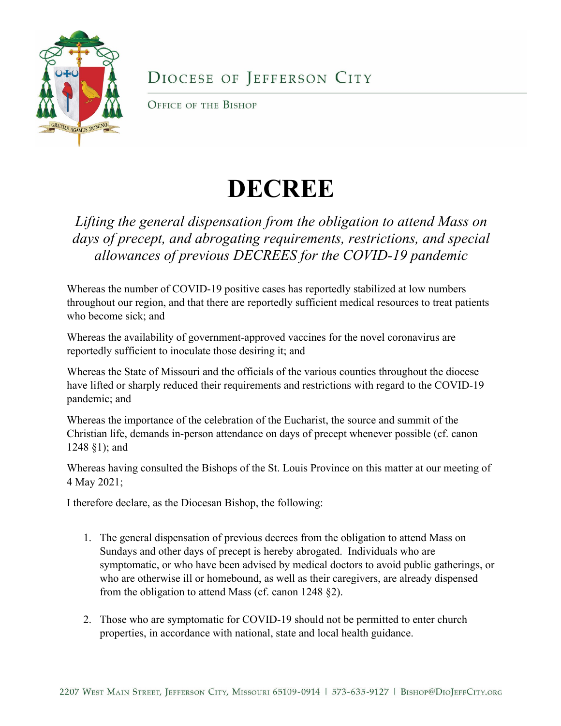

## DIOCESE OF JEFFERSON CITY

OFFICE OF THE BISHOP

## **DECREE**

## *Lifting the general dispensation from the obligation to attend Mass on days of precept, and abrogating requirements, restrictions, and special allowances of previous DECREES for the COVID-19 pandemic*

Whereas the number of COVID-19 positive cases has reportedly stabilized at low numbers throughout our region, and that there are reportedly sufficient medical resources to treat patients who become sick; and

Whereas the availability of government-approved vaccines for the novel coronavirus are reportedly sufficient to inoculate those desiring it; and

Whereas the State of Missouri and the officials of the various counties throughout the diocese have lifted or sharply reduced their requirements and restrictions with regard to the COVID-19 pandemic; and

Whereas the importance of the celebration of the Eucharist, the source and summit of the Christian life, demands in-person attendance on days of precept whenever possible (cf. canon 1248 §1); and

Whereas having consulted the Bishops of the St. Louis Province on this matter at our meeting of 4 May 2021;

I therefore declare, as the Diocesan Bishop, the following:

- 1. The general dispensation of previous decrees from the obligation to attend Mass on Sundays and other days of precept is hereby abrogated. Individuals who are symptomatic, or who have been advised by medical doctors to avoid public gatherings, or who are otherwise ill or homebound, as well as their caregivers, are already dispensed from the obligation to attend Mass (cf. canon 1248 §2).
- 2. Those who are symptomatic for COVID-19 should not be permitted to enter church properties, in accordance with national, state and local health guidance.